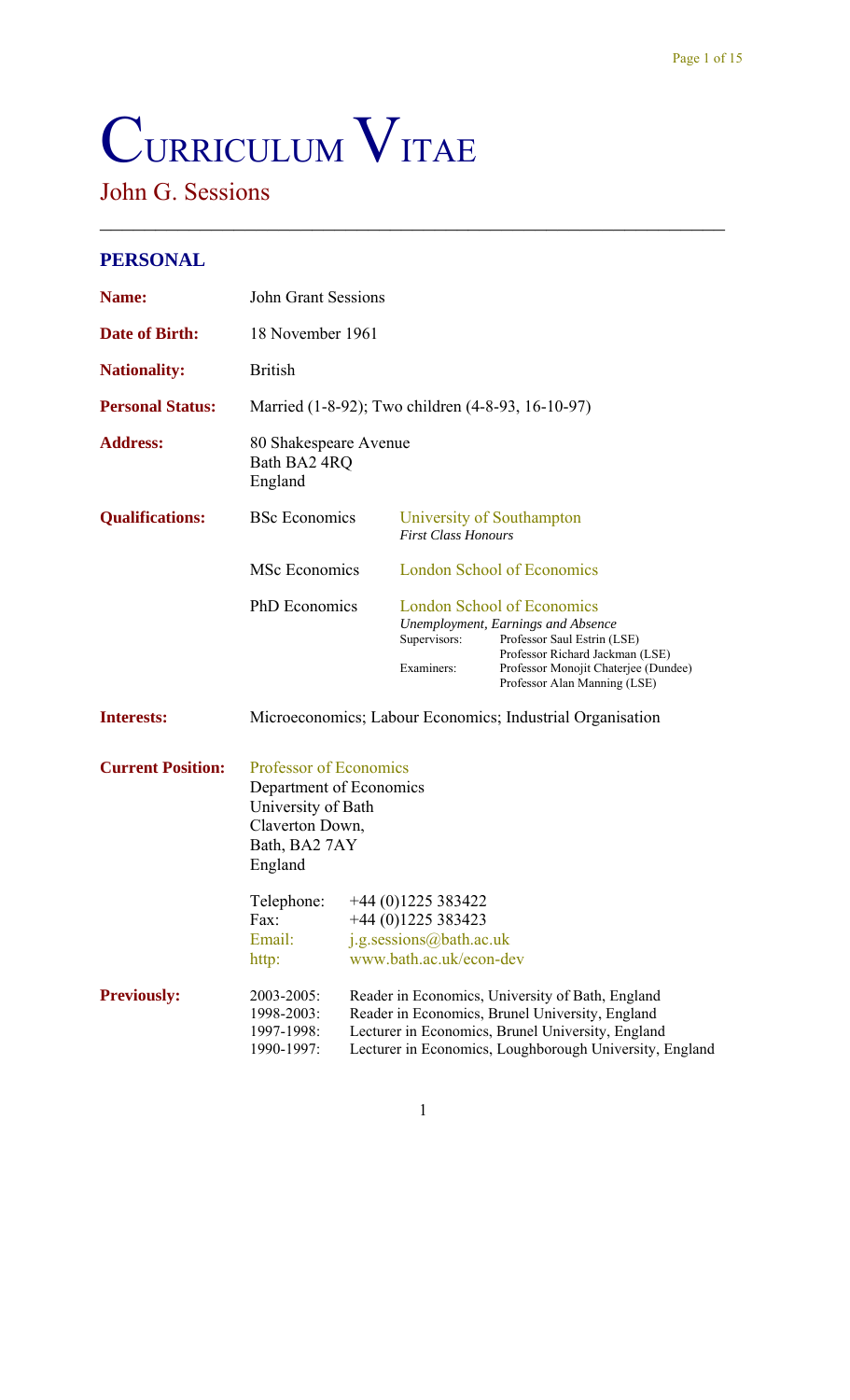# CURRICULUM VITAE

# John G. Sessions

### **PERSONAL**

| Name:                    | <b>John Grant Sessions</b>                                                                                             |                                                 |                                                                                                |                                                                                                                                                                                                                   |  |
|--------------------------|------------------------------------------------------------------------------------------------------------------------|-------------------------------------------------|------------------------------------------------------------------------------------------------|-------------------------------------------------------------------------------------------------------------------------------------------------------------------------------------------------------------------|--|
| <b>Date of Birth:</b>    | 18 November 1961                                                                                                       |                                                 |                                                                                                |                                                                                                                                                                                                                   |  |
| <b>Nationality:</b>      | <b>British</b>                                                                                                         |                                                 |                                                                                                |                                                                                                                                                                                                                   |  |
| <b>Personal Status:</b>  |                                                                                                                        |                                                 |                                                                                                | Married (1-8-92); Two children (4-8-93, 16-10-97)                                                                                                                                                                 |  |
| <b>Address:</b>          | 80 Shakespeare Avenue<br>Bath BA2 4RQ<br>England                                                                       |                                                 |                                                                                                |                                                                                                                                                                                                                   |  |
| <b>Qualifications:</b>   | <b>BSc</b> Economics                                                                                                   |                                                 | University of Southampton<br><b>First Class Honours</b>                                        |                                                                                                                                                                                                                   |  |
|                          | MSc Economics                                                                                                          |                                                 | <b>London School of Economics</b>                                                              |                                                                                                                                                                                                                   |  |
|                          | <b>PhD</b> Economics                                                                                                   |                                                 | Supervisors:<br>Examiners:                                                                     | <b>London School of Economics</b><br>Unemployment, Earnings and Absence<br>Professor Saul Estrin (LSE)<br>Professor Richard Jackman (LSE)<br>Professor Monojit Chaterjee (Dundee)<br>Professor Alan Manning (LSE) |  |
| <b>Interests:</b>        |                                                                                                                        |                                                 |                                                                                                | Microeconomics; Labour Economics; Industrial Organisation                                                                                                                                                         |  |
| <b>Current Position:</b> | Professor of Economics<br>Department of Economics<br>University of Bath<br>Claverton Down,<br>Bath, BA2 7AY<br>England |                                                 |                                                                                                |                                                                                                                                                                                                                   |  |
|                          | Telephone:<br>Fax:<br>Email:<br>http:                                                                                  |                                                 | $+44(0)1225383422$<br>$+44(0)1225383423$<br>j.g.sessions@bath.ac.uk<br>www.bath.ac.uk/econ-dev |                                                                                                                                                                                                                   |  |
| <b>Previously:</b>       | 2003-2005:                                                                                                             | Reader in Economics, Brunel University, England |                                                                                                | Reader in Economics, University of Bath, England                                                                                                                                                                  |  |

 $\mathcal{L}_\text{max}$  , and the contract of the contract of the contract of the contract of the contract of the contract of the contract of the contract of the contract of the contract of the contract of the contract of the contr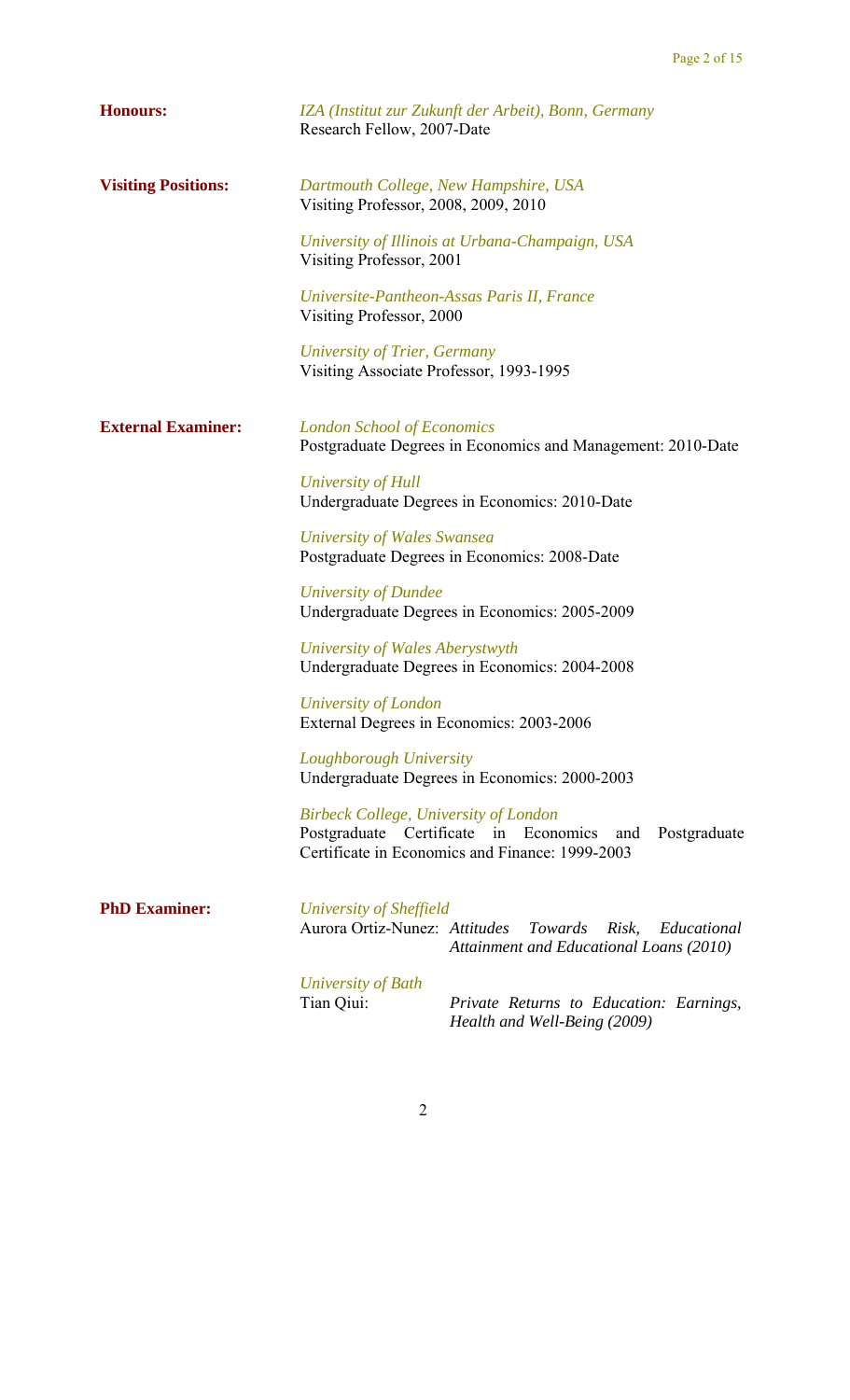| <b>Honours:</b>            | IZA (Institut zur Zukunft der Arbeit), Bonn, Germany<br>Research Fellow, 2007-Date                                                                              |
|----------------------------|-----------------------------------------------------------------------------------------------------------------------------------------------------------------|
| <b>Visiting Positions:</b> | Dartmouth College, New Hampshire, USA<br>Visiting Professor, 2008, 2009, 2010                                                                                   |
|                            | University of Illinois at Urbana-Champaign, USA<br>Visiting Professor, 2001                                                                                     |
|                            | Universite-Pantheon-Assas Paris II, France<br>Visiting Professor, 2000                                                                                          |
|                            | University of Trier, Germany<br>Visiting Associate Professor, 1993-1995                                                                                         |
| <b>External Examiner:</b>  | <b>London School of Economics</b><br>Postgraduate Degrees in Economics and Management: 2010-Date                                                                |
|                            | University of Hull<br>Undergraduate Degrees in Economics: 2010-Date                                                                                             |
|                            | <b>University of Wales Swansea</b><br>Postgraduate Degrees in Economics: 2008-Date                                                                              |
|                            | University of Dundee<br>Undergraduate Degrees in Economics: 2005-2009                                                                                           |
|                            | University of Wales Aberystwyth<br>Undergraduate Degrees in Economics: 2004-2008                                                                                |
|                            | University of London<br>External Degrees in Economics: 2003-2006                                                                                                |
|                            | Loughborough University<br>Undergraduate Degrees in Economics: 2000-2003                                                                                        |
|                            | <b>Birbeck College, University of London</b><br>Postgraduate Certificate in Economics<br>Postgraduate<br>and<br>Certificate in Economics and Finance: 1999-2003 |
| <b>PhD Examiner:</b>       | University of Sheffield<br>Aurora Ortiz-Nunez: Attitudes<br>Towards<br>Risk,<br>Educational<br>Attainment and Educational Loans (2010)                          |
|                            | University of Bath<br>Tian Qiui:<br>Private Returns to Education: Earnings,                                                                                     |

*Health and Well-Being (2009)*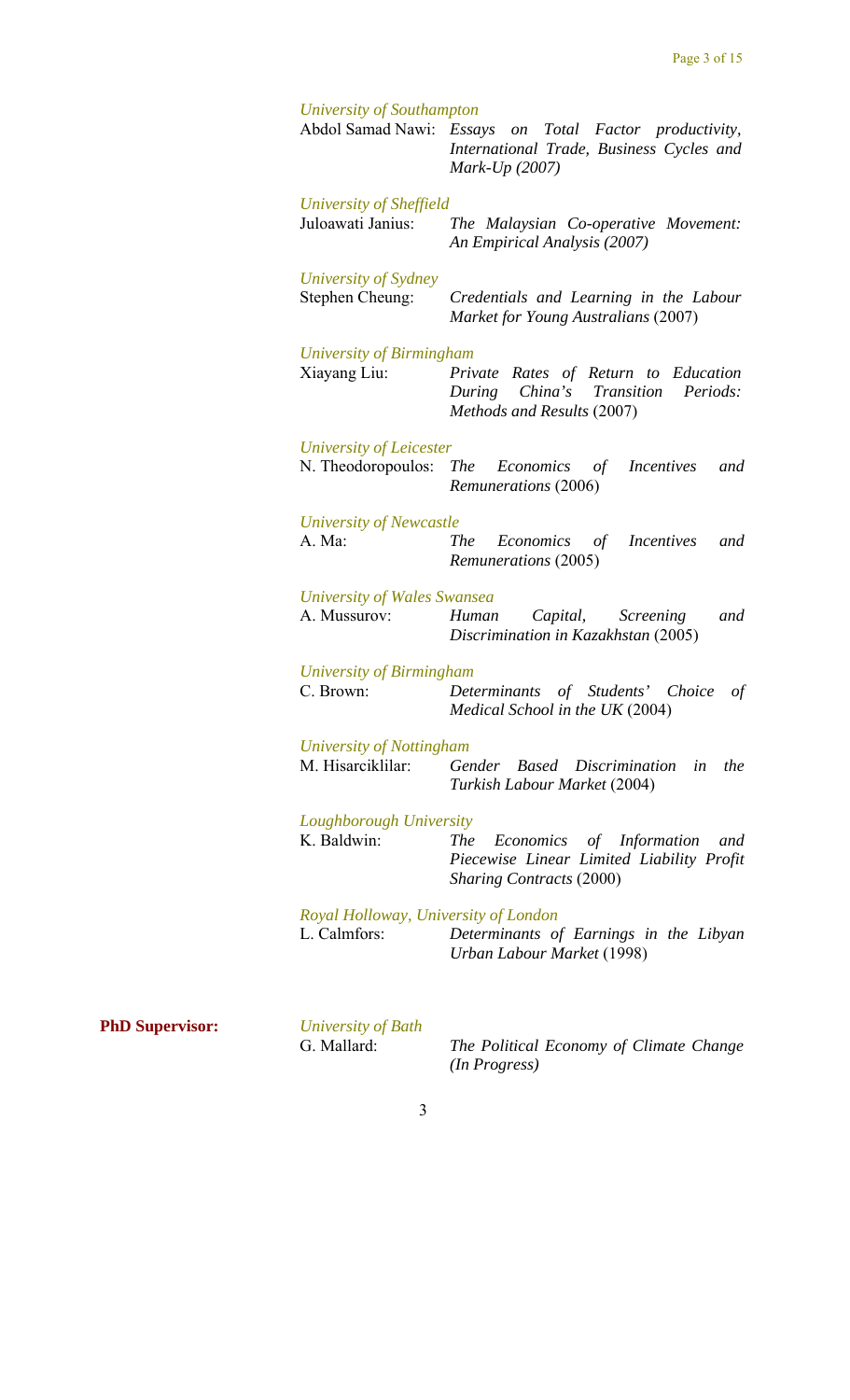| University of Southampton                          | Abdol Samad Nawi: Essays on Total Factor productivity,<br>International Trade, Business Cycles and<br>Mark-Up $(2007)$           |
|----------------------------------------------------|----------------------------------------------------------------------------------------------------------------------------------|
| University of Sheffield<br>Juloawati Janius:       | The Malaysian Co-operative Movement:<br>An Empirical Analysis (2007)                                                             |
| University of Sydney<br>Stephen Cheung:            | Credentials and Learning in the Labour<br>Market for Young Australians (2007)                                                    |
| University of Birmingham<br>Xiayang Liu:           | Private Rates of Return to Education<br>China's<br>Periods:<br>During<br>Transition<br>Methods and Results (2007)                |
| University of Leicester<br>N. Theodoropoulos:      | <i>The</i><br>Economics<br><i>Incentives</i><br>of<br>and<br>Remunerations (2006)                                                |
| University of Newcastle<br>A. Ma:                  | <b>The</b><br>Economics<br><i>Incentives</i><br>of<br>and<br>Remunerations (2005)                                                |
| <b>University of Wales Swansea</b><br>A. Mussurov: | Human<br>Capital,<br><i><u><b>Screening</b></u></i><br>and<br>Discrimination in Kazakhstan (2005)                                |
| University of Birmingham<br>C. Brown:              | Determinants of Students' Choice<br>of<br>Medical School in the UK (2004)                                                        |
| University of Nottingham<br>M. Hisarciklilar:      | <b>Based</b> Discrimination<br>Gender<br>the<br>in<br>Turkish Labour Market (2004)                                               |
| Loughborough University<br>K. Baldwin:             | <b>The</b><br>Economics<br>of Information<br>and<br>Piecewise Linear Limited Liability Profit<br><b>Sharing Contracts (2000)</b> |
| L. Calmfors:                                       | Royal Holloway, University of London<br>Determinants of Earnings in the Libyan<br>Urban Labour Market (1998)                     |

**PhD Supervisor:** *University of Bath* 

G. Mallard: *The Political Economy of Climate Change (In Progress)*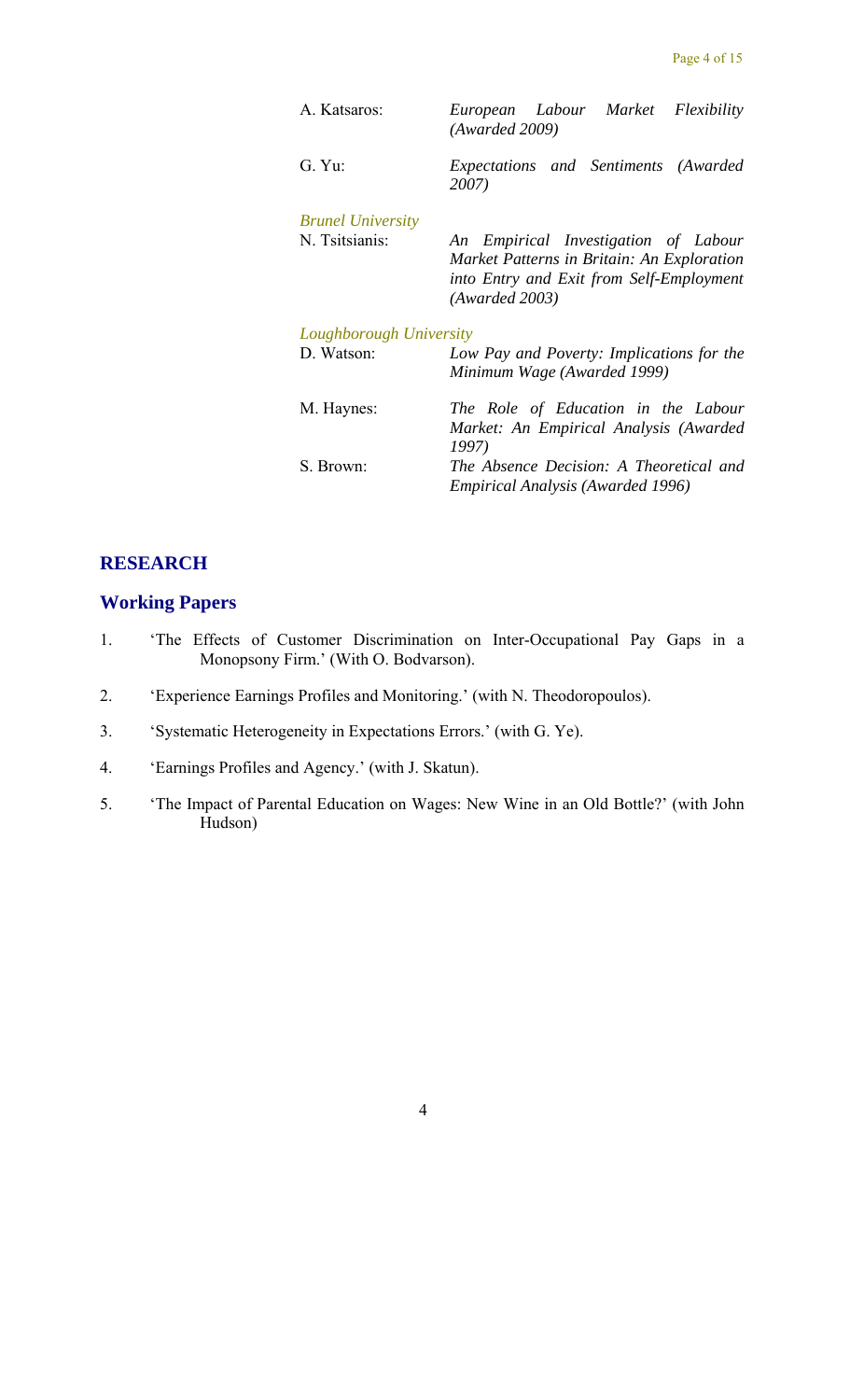| A. Katsaros:             | European Labour Market Flexibility<br>(Awarded 2009)                                                                                             |
|--------------------------|--------------------------------------------------------------------------------------------------------------------------------------------------|
| G. Yu:                   | Expectations and Sentiments (Awarded<br>2007)                                                                                                    |
| <b>Brunel University</b> |                                                                                                                                                  |
| N. Tsitsianis:           | An Empirical Investigation of Labour<br>Market Patterns in Britain: An Exploration<br>into Entry and Exit from Self-Employment<br>(Awarded 2003) |
| Loughborough University  |                                                                                                                                                  |
| D. Watson:               | Low Pay and Poverty: Implications for the<br>Minimum Wage (Awarded 1999)                                                                         |
| M. Haynes:               | The Role of Education in the Labour<br>Market: An Empirical Analysis (Awarded<br>1997)                                                           |
| S. Brown:                | The Absence Decision: A Theoretical and<br><b>Empirical Analysis (Awarded 1996)</b>                                                              |

#### **RESEARCH**

#### **Working Papers**

- 1. 'The Effects of Customer Discrimination on Inter-Occupational Pay Gaps in a Monopsony Firm.' (With O. Bodvarson).
- 2. 'Experience Earnings Profiles and Monitoring.' (with N. Theodoropoulos).
- 3. 'Systematic Heterogeneity in Expectations Errors.' (with G. Ye).
- 4. 'Earnings Profiles and Agency.' (with J. Skatun).
- 5. 'The Impact of Parental Education on Wages: New Wine in an Old Bottle?' (with John Hudson)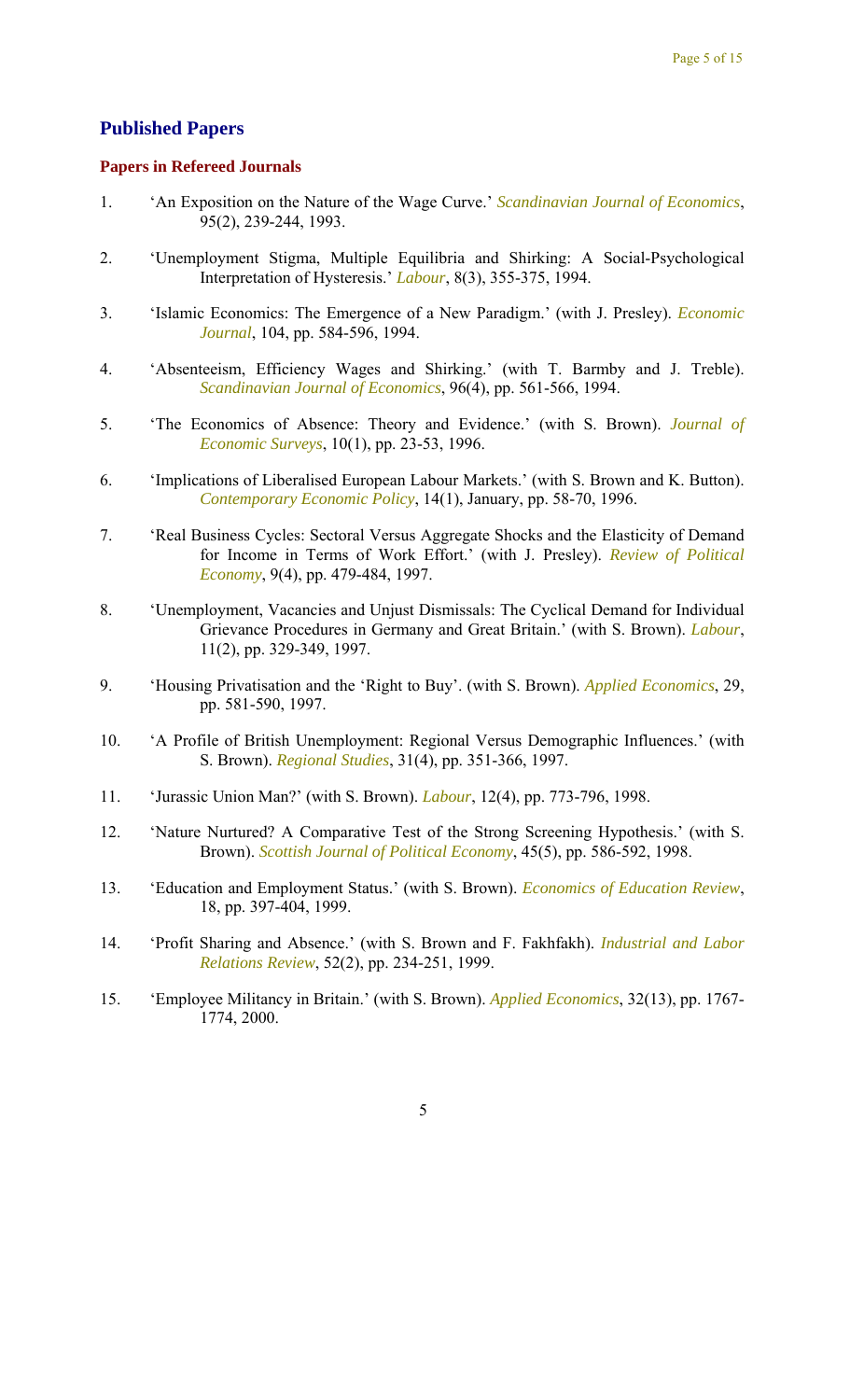#### **Published Papers**

#### **Papers in Refereed Journals**

- 1. 'An Exposition on the Nature of the Wage Curve.' *Scandinavian Journal of Economics*, 95(2), 239-244, 1993.
- 2. 'Unemployment Stigma, Multiple Equilibria and Shirking: A Social-Psychological Interpretation of Hysteresis.' *Labour*, 8(3), 355-375, 1994.
- 3. 'Islamic Economics: The Emergence of a New Paradigm.' (with J. Presley). *Economic Journal*, 104, pp. 584-596, 1994.
- 4. 'Absenteeism, Efficiency Wages and Shirking.' (with T. Barmby and J. Treble). *Scandinavian Journal of Economics*, 96(4), pp. 561-566, 1994.
- 5. 'The Economics of Absence: Theory and Evidence.' (with S. Brown). *Journal of Economic Surveys*, 10(1), pp. 23-53, 1996.
- 6. 'Implications of Liberalised European Labour Markets.' (with S. Brown and K. Button). *Contemporary Economic Policy*, 14(1), January, pp. 58-70, 1996.
- 7. 'Real Business Cycles: Sectoral Versus Aggregate Shocks and the Elasticity of Demand for Income in Terms of Work Effort.' (with J. Presley). *Review of Political Economy*, 9(4), pp. 479-484, 1997.
- 8. 'Unemployment, Vacancies and Unjust Dismissals: The Cyclical Demand for Individual Grievance Procedures in Germany and Great Britain.' (with S. Brown). *Labour*, 11(2), pp. 329-349, 1997.
- 9. 'Housing Privatisation and the 'Right to Buy'. (with S. Brown). *Applied Economics*, 29, pp. 581-590, 1997.
- 10. 'A Profile of British Unemployment: Regional Versus Demographic Influences.' (with S. Brown). *Regional Studies*, 31(4), pp. 351-366, 1997.
- 11. 'Jurassic Union Man?' (with S. Brown). *Labour*, 12(4), pp. 773-796, 1998.
- 12. 'Nature Nurtured? A Comparative Test of the Strong Screening Hypothesis.' (with S. Brown). *Scottish Journal of Political Economy*, 45(5), pp. 586-592, 1998.
- 13. 'Education and Employment Status.' (with S. Brown). *Economics of Education Review*, 18, pp. 397-404, 1999.
- 14. 'Profit Sharing and Absence.' (with S. Brown and F. Fakhfakh). *Industrial and Labor Relations Review*, 52(2), pp. 234-251, 1999.
- 15. 'Employee Militancy in Britain.' (with S. Brown). *Applied Economics*, 32(13), pp. 1767- 1774, 2000.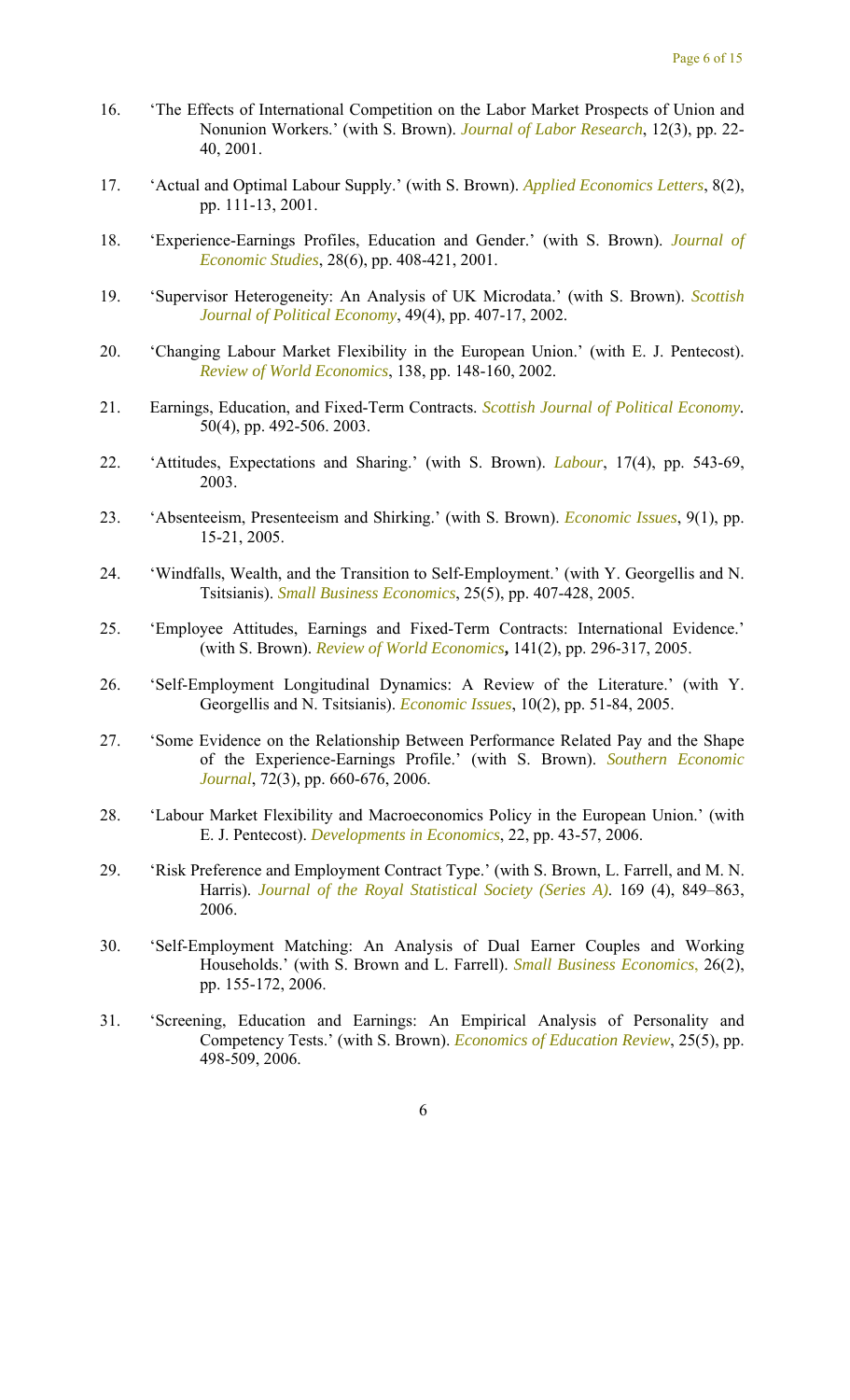- 16. 'The Effects of International Competition on the Labor Market Prospects of Union and Nonunion Workers.' (with S. Brown). *Journal of Labor Research*, 12(3), pp. 22- 40, 2001.
- 17. 'Actual and Optimal Labour Supply.' (with S. Brown). *Applied Economics Letters*, 8(2), pp. 111-13, 2001.
- 18. 'Experience-Earnings Profiles, Education and Gender.' (with S. Brown). *Journal of Economic Studies*, 28(6), pp. 408-421, 2001.
- 19. 'Supervisor Heterogeneity: An Analysis of UK Microdata.' (with S. Brown). *Scottish Journal of Political Economy*, 49(4), pp. 407-17, 2002.
- 20. 'Changing Labour Market Flexibility in the European Union.' (with E. J. Pentecost). *Review of World Economics*, 138, pp. 148-160, 2002.
- 21. Earnings, Education, and Fixed-Term Contracts. *Scottish Journal of Political Economy.*  50(4), pp. 492-506. 2003.
- 22. 'Attitudes, Expectations and Sharing.' (with S. Brown). *Labour*, 17(4), pp. 543-69, 2003.
- 23. 'Absenteeism, Presenteeism and Shirking.' (with S. Brown). *Economic Issues*, 9(1), pp. 15-21, 2005.
- 24. 'Windfalls, Wealth, and the Transition to Self-Employment.' (with Y. Georgellis and N. Tsitsianis). *Small Business Economics*, 25(5), pp. 407-428, 2005.
- 25. 'Employee Attitudes, Earnings and Fixed-Term Contracts: International Evidence.' (with S. Brown). *Review of World Economics***,** 141(2), pp. 296-317, 2005.
- 26. 'Self-Employment Longitudinal Dynamics: A Review of the Literature.' (with Y. Georgellis and N. Tsitsianis). *Economic Issues*, 10(2), pp. 51-84, 2005.
- 27. 'Some Evidence on the Relationship Between Performance Related Pay and the Shape of the Experience-Earnings Profile.' (with S. Brown). *Southern Economic Journal*, 72(3), pp. 660-676, 2006.
- 28. 'Labour Market Flexibility and Macroeconomics Policy in the European Union.' (with E. J. Pentecost). *Developments in Economics*, 22, pp. 43-57, 2006.
- 29. 'Risk Preference and Employment Contract Type.' (with S. Brown, L. Farrell, and M. N. Harris). *Journal of the Royal Statistical Society (Series A)*. 169 (4), 849–863, 2006.
- 30. 'Self-Employment Matching: An Analysis of Dual Earner Couples and Working Households.' (with S. Brown and L. Farrell). *Small Business Economics*, 26(2), pp. 155-172, 2006.
- 31. 'Screening, Education and Earnings: An Empirical Analysis of Personality and Competency Tests.' (with S. Brown). *Economics of Education Review*, 25(5), pp. 498-509, 2006.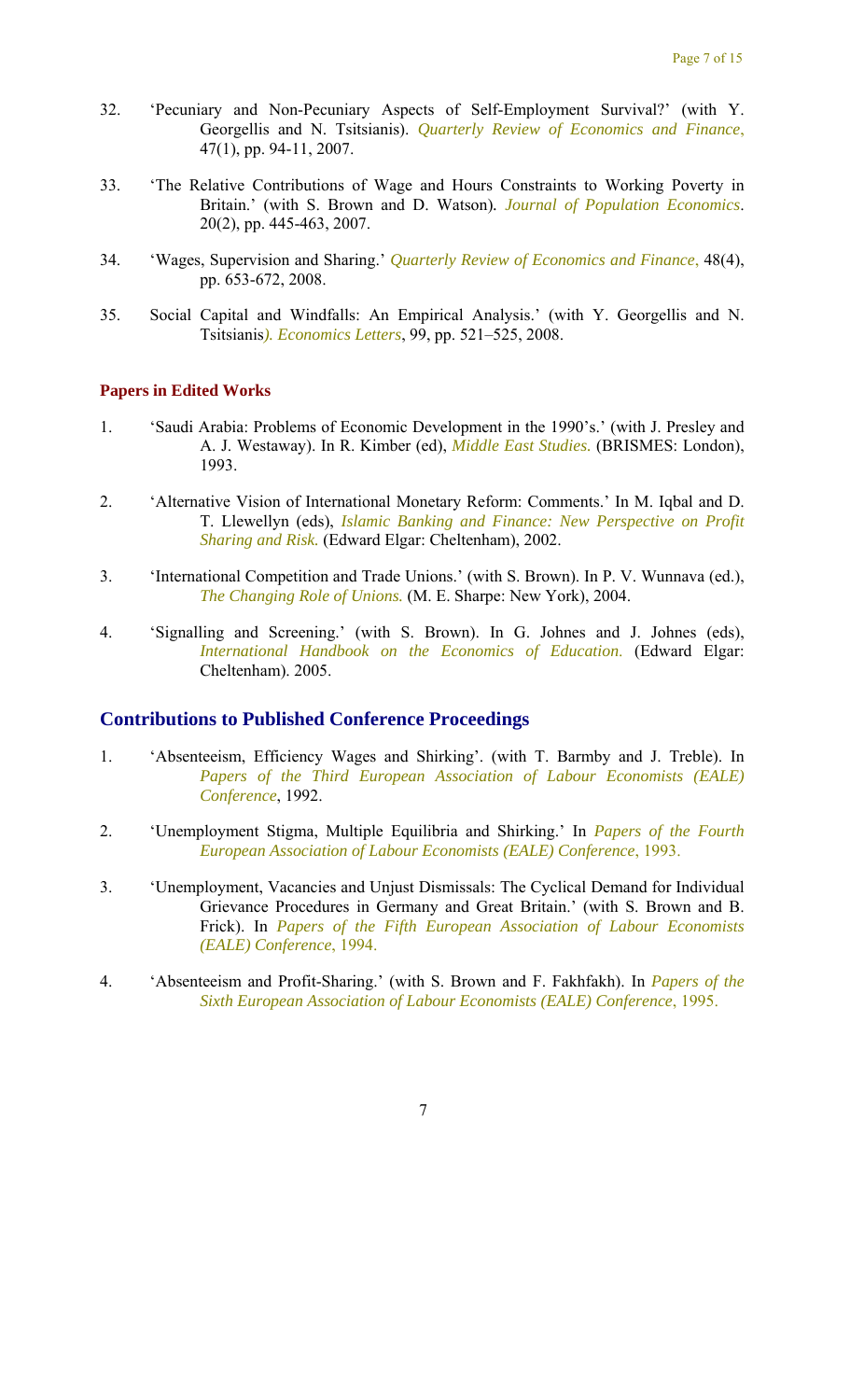- 32. 'Pecuniary and Non-Pecuniary Aspects of Self-Employment Survival?' (with Y. Georgellis and N. Tsitsianis). *Quarterly Review of Economics and Finance*, 47(1), pp. 94-11, 2007.
- 33. 'The Relative Contributions of Wage and Hours Constraints to Working Poverty in Britain.' (with S. Brown and D. Watson)*. Journal of Population Economics*. 20(2), pp. 445-463, 2007.
- 34. 'Wages, Supervision and Sharing.' *Quarterly Review of Economics and Finance*, 48(4), pp. 653-672, 2008.
- 35. Social Capital and Windfalls: An Empirical Analysis.' (with Y. Georgellis and N. Tsitsianis*). Economics Letters*, 99, pp. 521–525, 2008.

#### **Papers in Edited Works**

- 1. 'Saudi Arabia: Problems of Economic Development in the 1990's.' (with J. Presley and A. J. Westaway). In R. Kimber (ed), *Middle East Studies.* (BRISMES: London), 1993.
- 2. 'Alternative Vision of International Monetary Reform: Comments.' In M. Iqbal and D. T. Llewellyn (eds), *Islamic Banking and Finance: New Perspective on Profit Sharing and Risk.* (Edward Elgar: Cheltenham), 2002.
- 3. 'International Competition and Trade Unions.' (with S. Brown). In P. V. Wunnava (ed.), *The Changing Role of Unions.* (M. E. Sharpe: New York), 2004.
- 4. 'Signalling and Screening.' (with S. Brown). In G. Johnes and J. Johnes (eds), *International Handbook on the Economics of Education*. (Edward Elgar: Cheltenham). 2005.

#### **Contributions to Published Conference Proceedings**

- 1. 'Absenteeism, Efficiency Wages and Shirking'. (with T. Barmby and J. Treble). In *Papers of the Third European Association of Labour Economists (EALE) Conference*, 1992.
- 2. 'Unemployment Stigma, Multiple Equilibria and Shirking.' In *Papers of the Fourth European Association of Labour Economists (EALE) Conference*, 1993.
- 3. 'Unemployment, Vacancies and Unjust Dismissals: The Cyclical Demand for Individual Grievance Procedures in Germany and Great Britain.' (with S. Brown and B. Frick). In *Papers of the Fifth European Association of Labour Economists (EALE) Conference*, 1994.
- 4. 'Absenteeism and Profit-Sharing.' (with S. Brown and F. Fakhfakh). In *Papers of the Sixth European Association of Labour Economists (EALE) Conference*, 1995.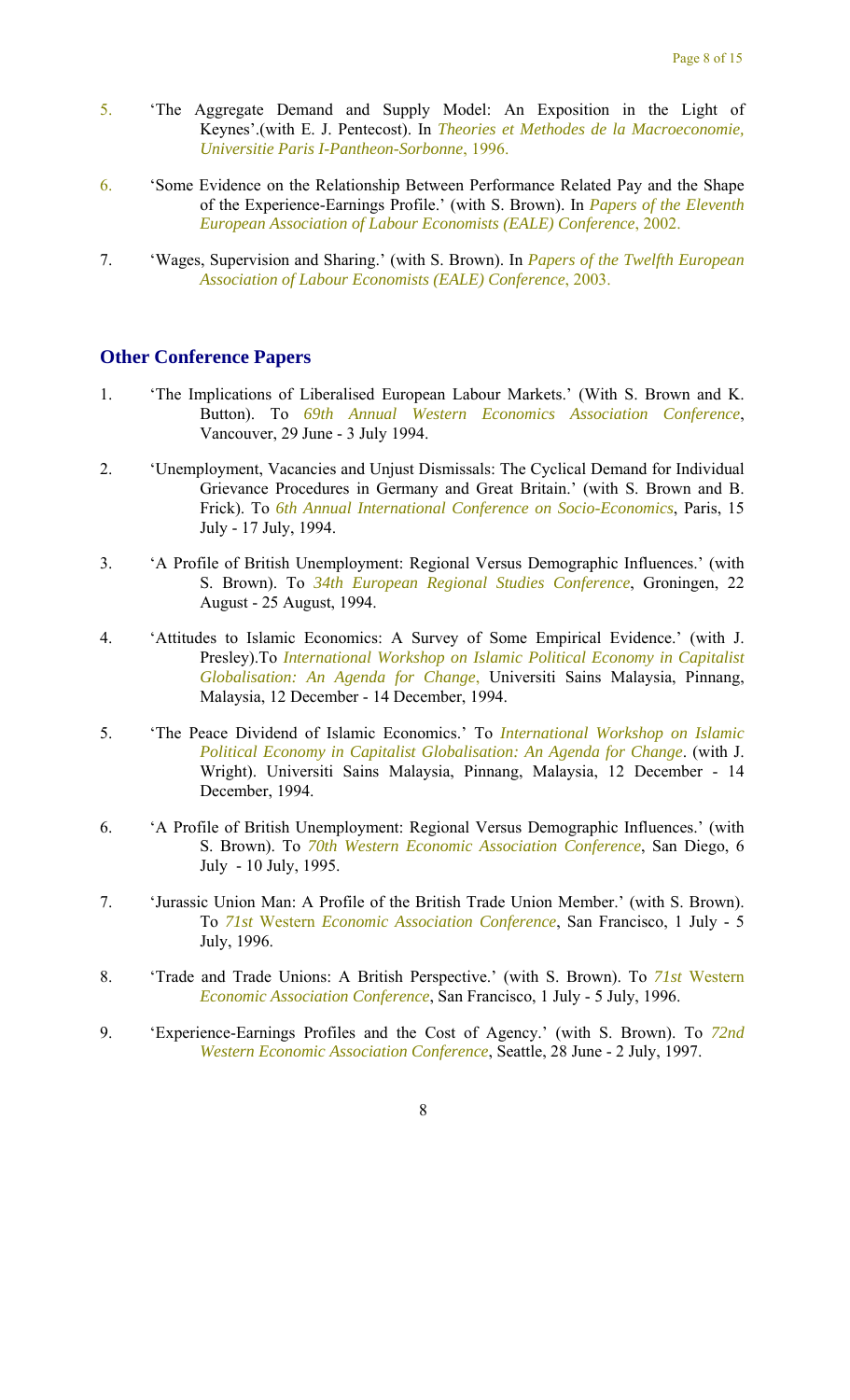- 5. 'The Aggregate Demand and Supply Model: An Exposition in the Light of Keynes'.(with E. J. Pentecost). In *Theories et Methodes de la Macroeconomie, Universitie Paris I-Pantheon-Sorbonne*, 1996.
- 6. 'Some Evidence on the Relationship Between Performance Related Pay and the Shape of the Experience-Earnings Profile.' (with S. Brown). In *Papers of the Eleventh European Association of Labour Economists (EALE) Conference*, 2002.
- 7. 'Wages, Supervision and Sharing.' (with S. Brown). In *Papers of the Twelfth European Association of Labour Economists (EALE) Conference*, 2003.

#### **Other Conference Papers**

- 1. 'The Implications of Liberalised European Labour Markets.' (With S. Brown and K. Button). To *69th Annual Western Economics Association Conference*, Vancouver, 29 June - 3 July 1994.
- 2. 'Unemployment, Vacancies and Unjust Dismissals: The Cyclical Demand for Individual Grievance Procedures in Germany and Great Britain.' (with S. Brown and B. Frick). To *6th Annual International Conference on Socio-Economics*, Paris, 15 July - 17 July, 1994.
- 3. 'A Profile of British Unemployment: Regional Versus Demographic Influences.' (with S. Brown). To *34th European Regional Studies Conference*, Groningen, 22 August - 25 August, 1994.
- 4. 'Attitudes to Islamic Economics: A Survey of Some Empirical Evidence.' (with J. Presley).To *International Workshop on Islamic Political Economy in Capitalist Globalisation: An Agenda for Change*, Universiti Sains Malaysia, Pinnang, Malaysia, 12 December - 14 December, 1994.
- 5. 'The Peace Dividend of Islamic Economics.' To *International Workshop on Islamic Political Economy in Capitalist Globalisation: An Agenda for Change*. (with J. Wright). Universiti Sains Malaysia, Pinnang, Malaysia, 12 December - 14 December, 1994.
- 6. 'A Profile of British Unemployment: Regional Versus Demographic Influences.' (with S. Brown). To *70th Western Economic Association Conference*, San Diego, 6 July - 10 July, 1995.
- 7. 'Jurassic Union Man: A Profile of the British Trade Union Member.' (with S. Brown). To *71st* Western *Economic Association Conference*, San Francisco, 1 July - 5 July, 1996.
- 8. 'Trade and Trade Unions: A British Perspective.' (with S. Brown). To *71st* Western *Economic Association Conference*, San Francisco, 1 July - 5 July, 1996.
- 9. 'Experience-Earnings Profiles and the Cost of Agency.' (with S. Brown). To *72nd Western Economic Association Conference*, Seattle, 28 June - 2 July, 1997.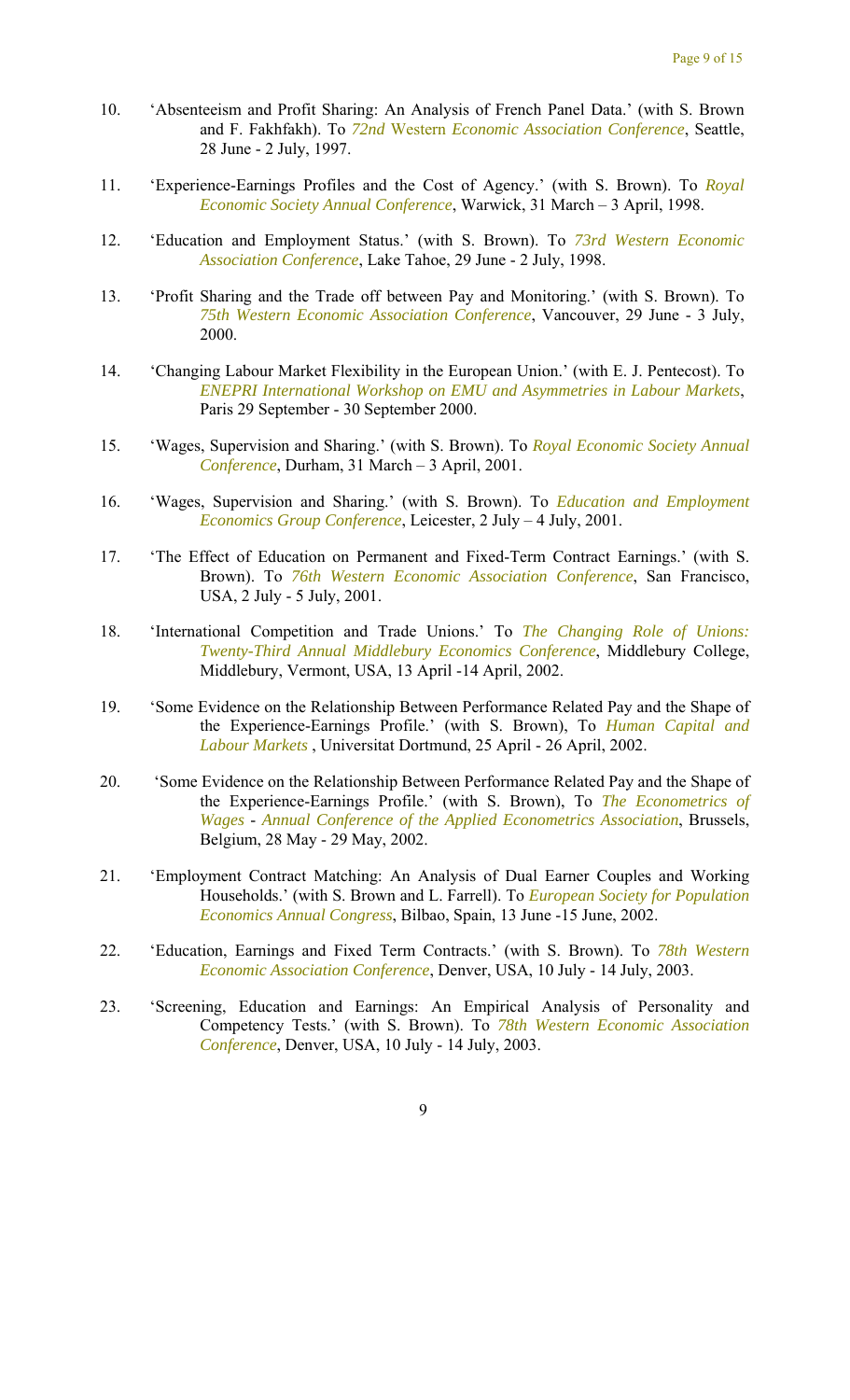- 10. 'Absenteeism and Profit Sharing: An Analysis of French Panel Data.' (with S. Brown and F. Fakhfakh). To *72nd* Western *Economic Association Conference*, Seattle, 28 June - 2 July, 1997.
- 11. 'Experience-Earnings Profiles and the Cost of Agency.' (with S. Brown). To *Royal Economic Society Annual Conference*, Warwick, 31 March – 3 April, 1998.
- 12. 'Education and Employment Status.' (with S. Brown). To *73rd Western Economic Association Conference*, Lake Tahoe, 29 June - 2 July, 1998.
- 13. 'Profit Sharing and the Trade off between Pay and Monitoring.' (with S. Brown). To *75th Western Economic Association Conference*, Vancouver, 29 June - 3 July, 2000.
- 14. 'Changing Labour Market Flexibility in the European Union.' (with E. J. Pentecost). To *ENEPRI International Workshop on EMU and Asymmetries in Labour Markets*, Paris 29 September - 30 September 2000.
- 15. 'Wages, Supervision and Sharing.' (with S. Brown). To *Royal Economic Society Annual Conference*, Durham, 31 March – 3 April, 2001.
- 16. 'Wages, Supervision and Sharing.' (with S. Brown). To *Education and Employment Economics Group Conference*, Leicester, 2 July – 4 July, 2001.
- 17. 'The Effect of Education on Permanent and Fixed-Term Contract Earnings.' (with S. Brown). To *76th Western Economic Association Conference*, San Francisco, USA, 2 July - 5 July, 2001.
- 18. 'International Competition and Trade Unions.' To *The Changing Role of Unions: Twenty-Third Annual Middlebury Economics Conference*, Middlebury College, Middlebury, Vermont, USA, 13 April -14 April, 2002.
- 19. 'Some Evidence on the Relationship Between Performance Related Pay and the Shape of the Experience-Earnings Profile.' (with S. Brown), To *Human Capital and Labour Markets* , Universitat Dortmund, 25 April - 26 April, 2002.
- 20. 'Some Evidence on the Relationship Between Performance Related Pay and the Shape of the Experience-Earnings Profile.' (with S. Brown), To *The Econometrics of Wages* - *Annual Conference of the Applied Econometrics Association*, Brussels, Belgium, 28 May - 29 May, 2002.
- 21. 'Employment Contract Matching: An Analysis of Dual Earner Couples and Working Households.' (with S. Brown and L. Farrell). To *European Society for Population Economics Annual Congress*, Bilbao, Spain, 13 June -15 June, 2002.
- 22. 'Education, Earnings and Fixed Term Contracts.' (with S. Brown). To *78th Western Economic Association Conference*, Denver, USA, 10 July - 14 July, 2003.
- 23. 'Screening, Education and Earnings: An Empirical Analysis of Personality and Competency Tests.' (with S. Brown). To *78th Western Economic Association Conference*, Denver, USA, 10 July - 14 July, 2003.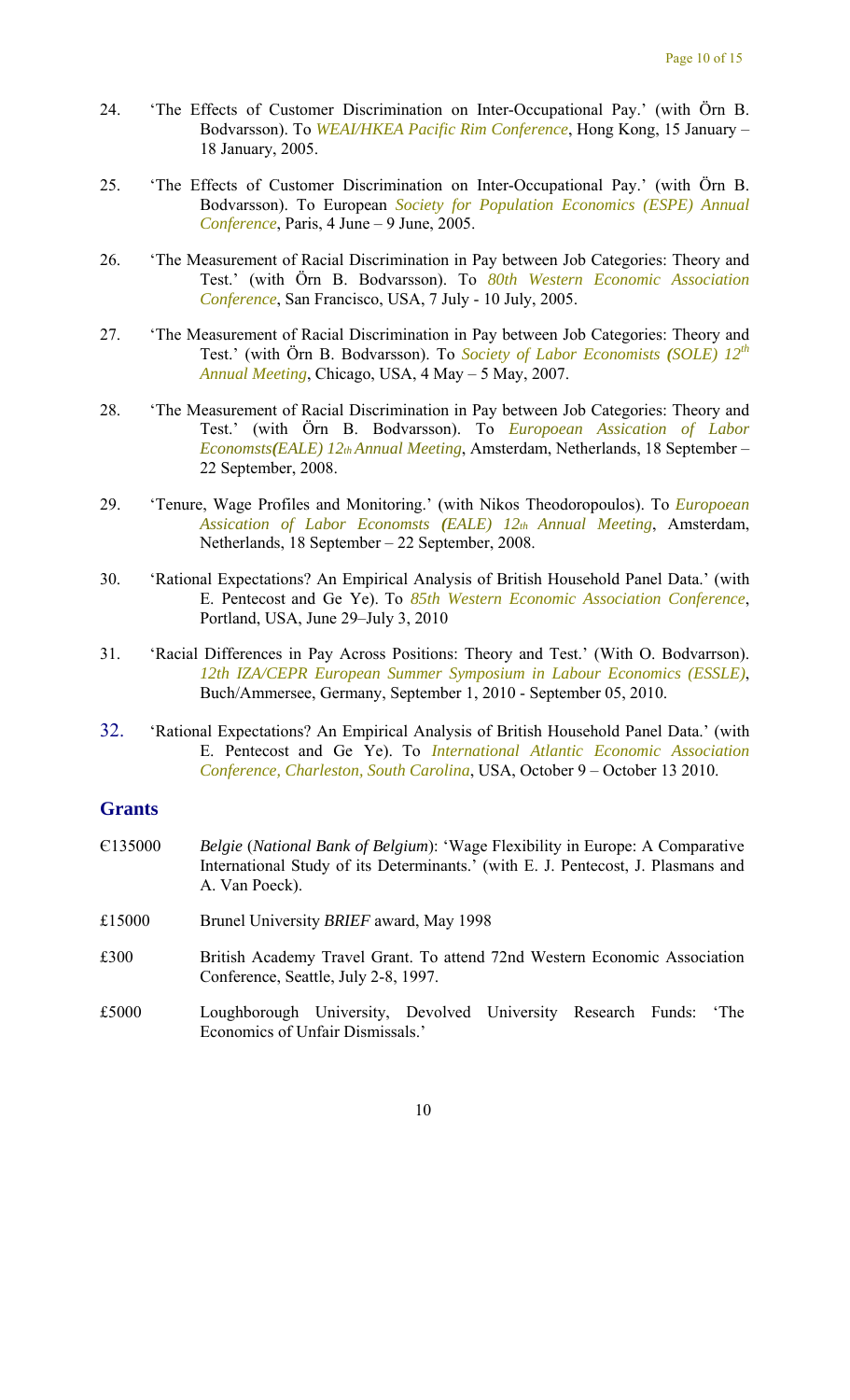- 24. 'The Effects of Customer Discrimination on Inter-Occupational Pay.' (with Örn B. Bodvarsson). To *WEAI/HKEA Pacific Rim Conference*, Hong Kong, 15 January – 18 January, 2005.
- 25. 'The Effects of Customer Discrimination on Inter-Occupational Pay.' (with Örn B. Bodvarsson). To European *Society for Population Economics (ESPE) Annual Conference*, Paris, 4 June – 9 June, 2005.
- 26. 'The Measurement of Racial Discrimination in Pay between Job Categories: Theory and Test.' (with Örn B. Bodvarsson). To *80th Western Economic Association Conference*, San Francisco, USA, 7 July - 10 July, 2005.
- 27. 'The Measurement of Racial Discrimination in Pay between Job Categories: Theory and Test.' (with Örn B. Bodvarsson). To *Society of Labor Economists (SOLE) 12th Annual Meeting*, Chicago, USA, 4 May – 5 May, 2007.
- 28. 'The Measurement of Racial Discrimination in Pay between Job Categories: Theory and Test.' (with Örn B. Bodvarsson). To *Europoean Assication of Labor Economsts(EALE) 12th Annual Meeting*, Amsterdam, Netherlands, 18 September – 22 September, 2008.
- 29. 'Tenure, Wage Profiles and Monitoring.' (with Nikos Theodoropoulos). To *Europoean Assication of Labor Economsts (EALE) 12th Annual Meeting*, Amsterdam, Netherlands, 18 September – 22 September, 2008.
- 30. 'Rational Expectations? An Empirical Analysis of British Household Panel Data.' (with E. Pentecost and Ge Ye). To *85th Western Economic Association Conference*, Portland, USA, June 29–July 3, 2010
- 31. 'Racial Differences in Pay Across Positions: Theory and Test.' (With O. Bodvarrson). *12th IZA/CEPR European Summer Symposium in Labour Economics (ESSLE)*, Buch/Ammersee, Germany, September 1, 2010 - September 05, 2010.
- 32. 'Rational Expectations? An Empirical Analysis of British Household Panel Data.' (with E. Pentecost and Ge Ye). To *International Atlantic Economic Association Conference, Charleston, South Carolina*, USA, October 9 – October 13 2010.

#### **Grants**

- Є135000 *Belgie* (*National Bank of Belgium*): 'Wage Flexibility in Europe: A Comparative International Study of its Determinants.' (with E. J. Pentecost, J. Plasmans and A. Van Poeck).
- £15000 Brunel University *BRIEF* award, May 1998
- £300 British Academy Travel Grant. To attend 72nd Western Economic Association Conference, Seattle, July 2-8, 1997.
- £5000 Loughborough University, Devolved University Research Funds: 'The Economics of Unfair Dismissals.'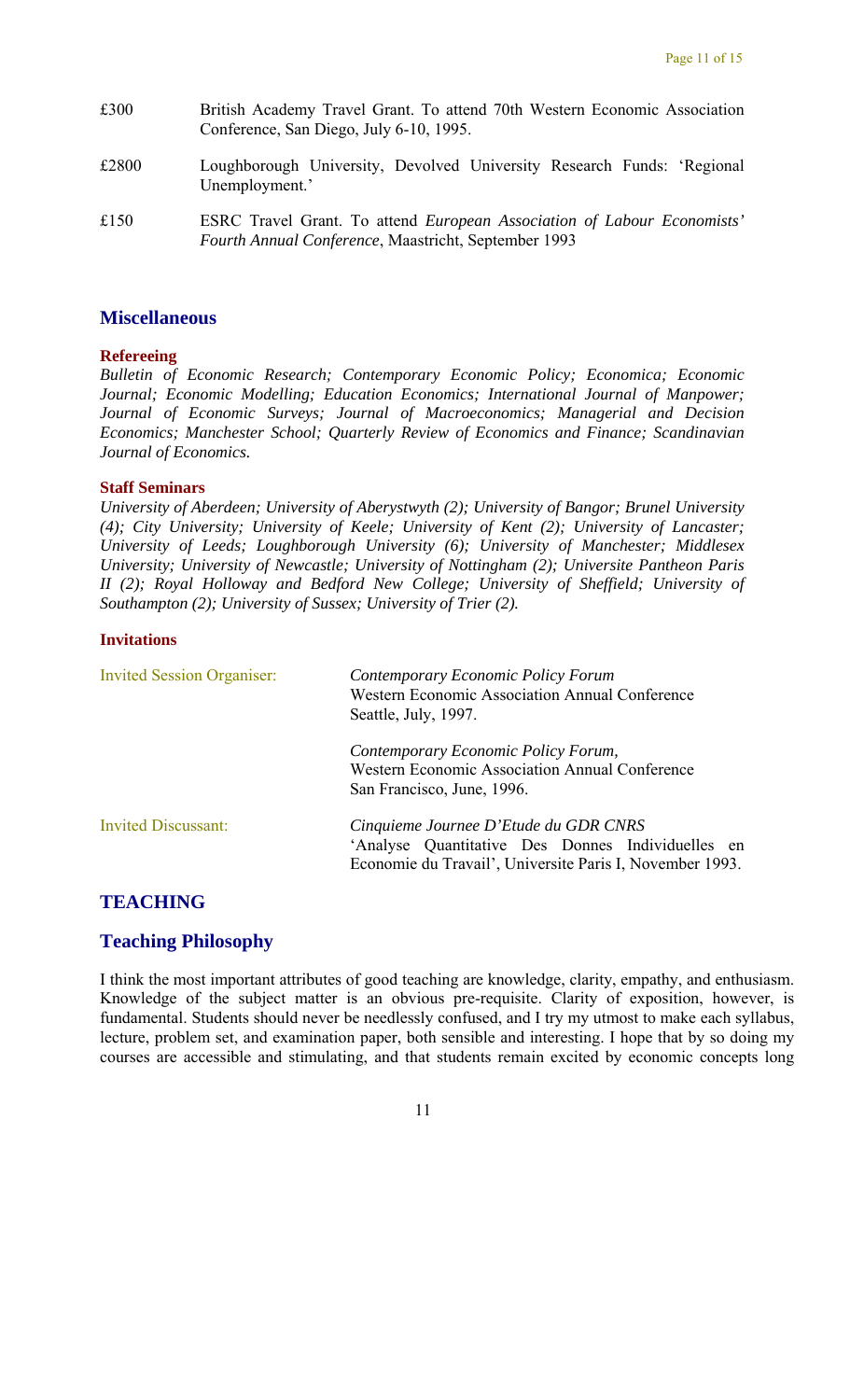- £300 British Academy Travel Grant. To attend 70th Western Economic Association Conference, San Diego, July 6-10, 1995.
- £2800 Loughborough University, Devolved University Research Funds: 'Regional Unemployment.'
- £150 ESRC Travel Grant. To attend *European Association of Labour Economists' Fourth Annual Conference*, Maastricht, September 1993

#### **Miscellaneous**

#### **Refereeing**

*Bulletin of Economic Research; Contemporary Economic Policy; Economica; Economic Journal; Economic Modelling; Education Economics; International Journal of Manpower; Journal of Economic Surveys; Journal of Macroeconomics; Managerial and Decision Economics; Manchester School; Quarterly Review of Economics and Finance; Scandinavian Journal of Economics.* 

#### **Staff Seminars**

*University of Aberdeen; University of Aberystwyth (2); University of Bangor; Brunel University (4); City University; University of Keele; University of Kent (2); University of Lancaster; University of Leeds; Loughborough University (6); University of Manchester; Middlesex University; University of Newcastle; University of Nottingham (2); Universite Pantheon Paris II (2); Royal Holloway and Bedford New College; University of Sheffield; University of Southampton (2); University of Sussex; University of Trier (2).* 

#### **Invitations**

| <b>Invited Session Organiser:</b> | Contemporary Economic Policy Forum<br><b>Western Economic Association Annual Conference</b><br>Seattle, July, 1997.                                    |
|-----------------------------------|--------------------------------------------------------------------------------------------------------------------------------------------------------|
|                                   | Contemporary Economic Policy Forum,<br>Western Economic Association Annual Conference<br>San Francisco, June, 1996.                                    |
| <b>Invited Discussant:</b>        | Cinquieme Journee D'Etude du GDR CNRS<br>'Analyse Quantitative Des Donnes Individuelles en<br>Economie du Travail', Universite Paris I, November 1993. |

#### **TEACHING**

#### **Teaching Philosophy**

I think the most important attributes of good teaching are knowledge, clarity, empathy, and enthusiasm. Knowledge of the subject matter is an obvious pre-requisite. Clarity of exposition, however, is fundamental. Students should never be needlessly confused, and I try my utmost to make each syllabus, lecture, problem set, and examination paper, both sensible and interesting. I hope that by so doing my courses are accessible and stimulating, and that students remain excited by economic concepts long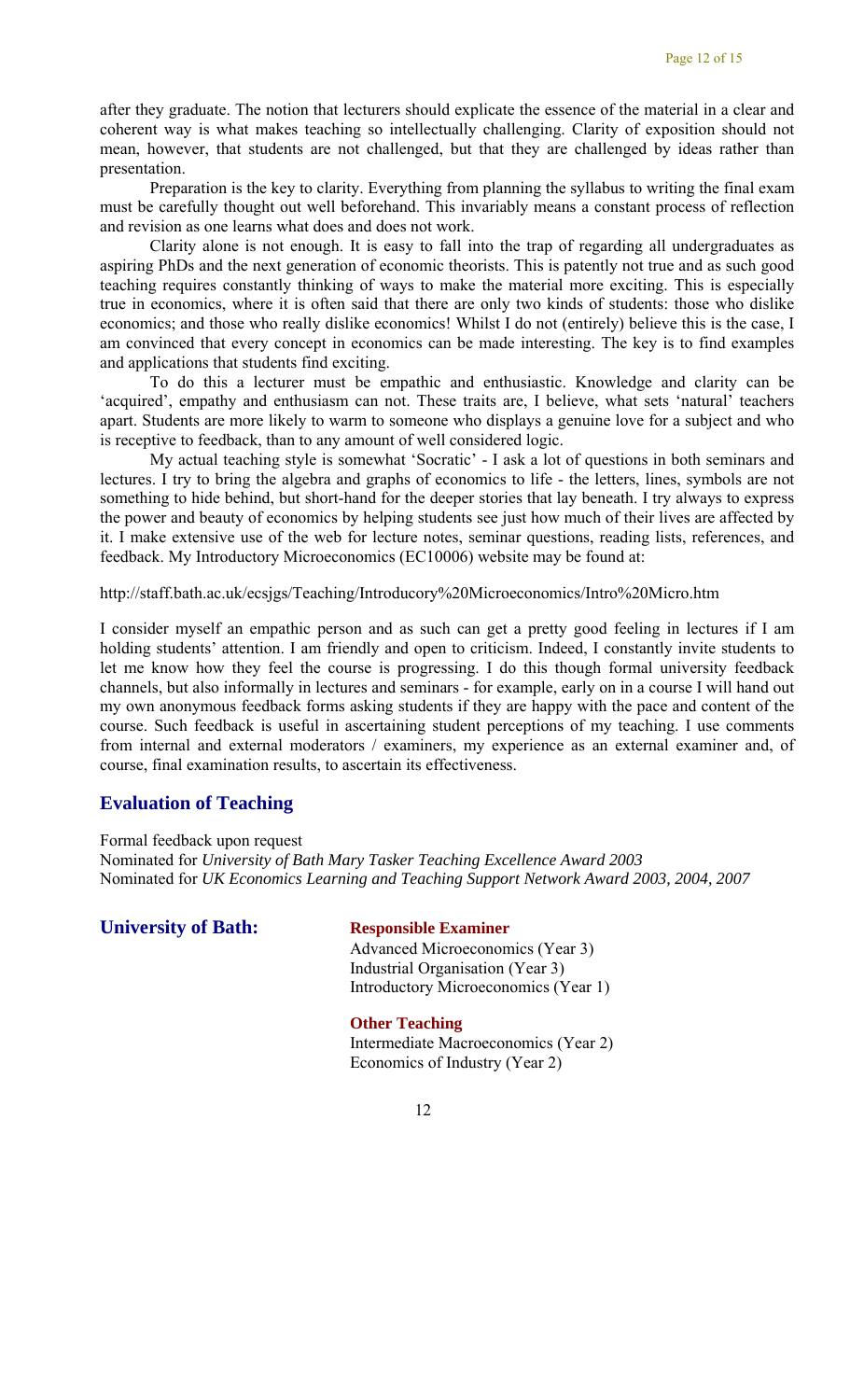after they graduate. The notion that lecturers should explicate the essence of the material in a clear and coherent way is what makes teaching so intellectually challenging. Clarity of exposition should not mean, however, that students are not challenged, but that they are challenged by ideas rather than presentation.

Preparation is the key to clarity. Everything from planning the syllabus to writing the final exam must be carefully thought out well beforehand. This invariably means a constant process of reflection and revision as one learns what does and does not work.

Clarity alone is not enough. It is easy to fall into the trap of regarding all undergraduates as aspiring PhDs and the next generation of economic theorists. This is patently not true and as such good teaching requires constantly thinking of ways to make the material more exciting. This is especially true in economics, where it is often said that there are only two kinds of students: those who dislike economics; and those who really dislike economics! Whilst I do not (entirely) believe this is the case, I am convinced that every concept in economics can be made interesting. The key is to find examples and applications that students find exciting.

To do this a lecturer must be empathic and enthusiastic. Knowledge and clarity can be 'acquired', empathy and enthusiasm can not. These traits are, I believe, what sets 'natural' teachers apart. Students are more likely to warm to someone who displays a genuine love for a subject and who is receptive to feedback, than to any amount of well considered logic.

My actual teaching style is somewhat 'Socratic' - I ask a lot of questions in both seminars and lectures. I try to bring the algebra and graphs of economics to life - the letters, lines, symbols are not something to hide behind, but short-hand for the deeper stories that lay beneath. I try always to express the power and beauty of economics by helping students see just how much of their lives are affected by it. I make extensive use of the web for lecture notes, seminar questions, reading lists, references, and feedback. My Introductory Microeconomics (EC10006) website may be found at:

http://staff.bath.ac.uk/ecsjgs/Teaching/Introducory%20Microeconomics/Intro%20Micro.htm

I consider myself an empathic person and as such can get a pretty good feeling in lectures if I am holding students' attention. I am friendly and open to criticism. Indeed, I constantly invite students to let me know how they feel the course is progressing. I do this though formal university feedback channels, but also informally in lectures and seminars - for example, early on in a course I will hand out my own anonymous feedback forms asking students if they are happy with the pace and content of the course. Such feedback is useful in ascertaining student perceptions of my teaching. I use comments from internal and external moderators / examiners, my experience as an external examiner and, of course, final examination results, to ascertain its effectiveness.

#### **Evaluation of Teaching**

Formal feedback upon request

Nominated for *University of Bath Mary Tasker Teaching Excellence Award 2003*  Nominated for *UK Economics Learning and Teaching Support Network Award 2003, 2004, 2007* 

**University of Bath: Responsible Examiner** 

Advanced Microeconomics (Year 3) Industrial Organisation (Year 3) Introductory Microeconomics (Year 1)

#### **Other Teaching**

Intermediate Macroeconomics (Year 2) Economics of Industry (Year 2)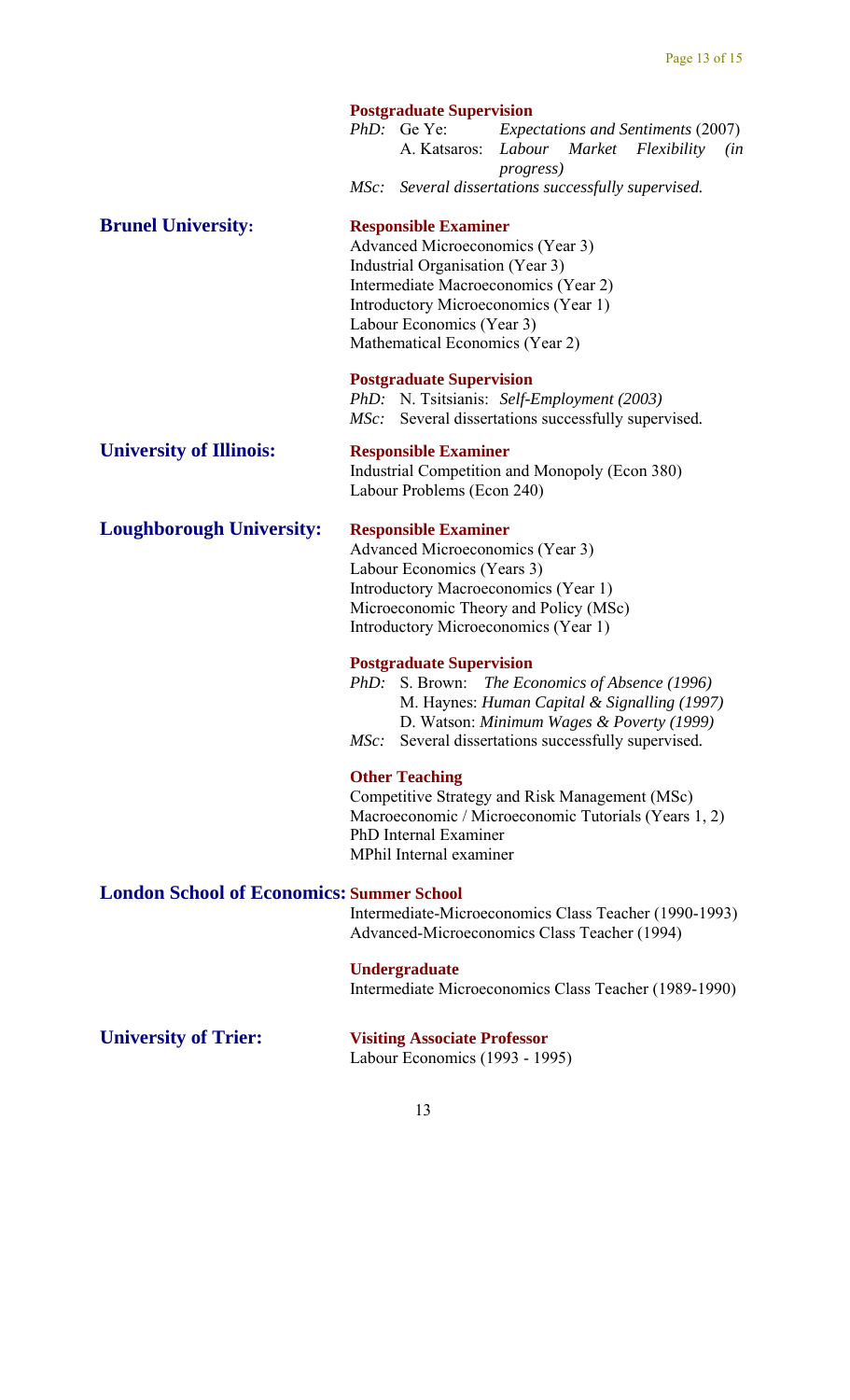|                                                  |                                                                                                                                                                                                                        | <b>Postgraduate Supervision</b>                                                                                                 |                                                                                                                                                                                |     |
|--------------------------------------------------|------------------------------------------------------------------------------------------------------------------------------------------------------------------------------------------------------------------------|---------------------------------------------------------------------------------------------------------------------------------|--------------------------------------------------------------------------------------------------------------------------------------------------------------------------------|-----|
|                                                  |                                                                                                                                                                                                                        | $PhD$ : Ge Ye:                                                                                                                  | <b>Expectations and Sentiments (2007)</b><br>A. Katsaros: Labour Market Flexibility<br><i>progress</i> )                                                                       | (in |
|                                                  |                                                                                                                                                                                                                        |                                                                                                                                 | MSc: Several dissertations successfully supervised.                                                                                                                            |     |
| <b>Brunel University:</b>                        |                                                                                                                                                                                                                        | <b>Responsible Examiner</b><br>Industrial Organisation (Year 3)<br>Labour Economics (Year 3)<br>Mathematical Economics (Year 2) | Advanced Microeconomics (Year 3)<br>Intermediate Macroeconomics (Year 2)<br>Introductory Microeconomics (Year 1)                                                               |     |
|                                                  | MSc:                                                                                                                                                                                                                   | <b>Postgraduate Supervision</b>                                                                                                 | PhD: N. Tsitsianis: Self-Employment (2003)<br>Several dissertations successfully supervised.                                                                                   |     |
| <b>University of Illinois:</b>                   |                                                                                                                                                                                                                        | <b>Responsible Examiner</b><br>Labour Problems (Econ 240)                                                                       | Industrial Competition and Monopoly (Econ 380)                                                                                                                                 |     |
| <b>Loughborough University:</b>                  | <b>Responsible Examiner</b><br>Advanced Microeconomics (Year 3)<br>Labour Economics (Years 3)<br>Introductory Macroeconomics (Year 1)<br>Microeconomic Theory and Policy (MSc)<br>Introductory Microeconomics (Year 1) |                                                                                                                                 |                                                                                                                                                                                |     |
|                                                  | PhD:<br>MSc:                                                                                                                                                                                                           | <b>Postgraduate Supervision</b><br>S. Brown:                                                                                    | The Economics of Absence (1996)<br>M. Haynes: Human Capital & Signalling (1997)<br>D. Watson: Minimum Wages & Poverty (1999)<br>Several dissertations successfully supervised. |     |
|                                                  |                                                                                                                                                                                                                        | <b>Other Teaching</b><br>PhD Internal Examiner<br>MPhil Internal examiner                                                       | Competitive Strategy and Risk Management (MSc)<br>Macroeconomic / Microeconomic Tutorials (Years 1, 2)                                                                         |     |
| <b>London School of Economics: Summer School</b> |                                                                                                                                                                                                                        |                                                                                                                                 | Intermediate-Microeconomics Class Teacher (1990-1993)<br>Advanced-Microeconomics Class Teacher (1994)                                                                          |     |
|                                                  |                                                                                                                                                                                                                        | <b>Undergraduate</b>                                                                                                            | Intermediate Microeconomics Class Teacher (1989-1990)                                                                                                                          |     |

## **University of Trier: Visiting Associate Professor**

Labour Economics (1993 - 1995)